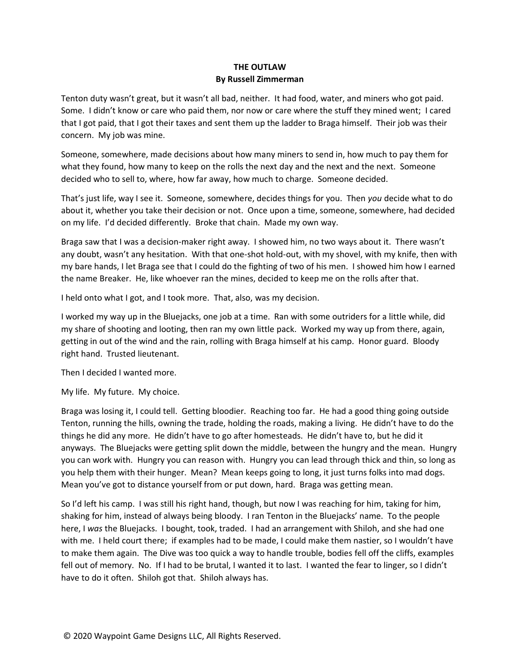## **THE OUTLAW By Russell Zimmerman**

Tenton duty wasn't great, but it wasn't all bad, neither. It had food, water, and miners who got paid. Some. I didn't know or care who paid them, nor now or care where the stuff they mined went; I cared that I got paid, that I got their taxes and sent them up the ladder to Braga himself. Their job was their concern. My job was mine.

Someone, somewhere, made decisions about how many miners to send in, how much to pay them for what they found, how many to keep on the rolls the next day and the next and the next. Someone decided who to sell to, where, how far away, how much to charge. Someone decided.

That's just life, way I see it. Someone, somewhere, decides things for you. Then *you* decide what to do about it, whether you take their decision or not. Once upon a time, someone, somewhere, had decided on my life. I'd decided differently. Broke that chain. Made my own way.

Braga saw that I was a decision-maker right away. I showed him, no two ways about it. There wasn't any doubt, wasn't any hesitation. With that one-shot hold-out, with my shovel, with my knife, then with my bare hands, I let Braga see that I could do the fighting of two of his men. I showed him how I earned the name Breaker. He, like whoever ran the mines, decided to keep me on the rolls after that.

I held onto what I got, and I took more. That, also, was my decision.

I worked my way up in the Bluejacks, one job at a time. Ran with some outriders for a little while, did my share of shooting and looting, then ran my own little pack. Worked my way up from there, again, getting in out of the wind and the rain, rolling with Braga himself at his camp. Honor guard. Bloody right hand. Trusted lieutenant.

Then I decided I wanted more.

My life. My future. My choice.

Braga was losing it, I could tell. Getting bloodier. Reaching too far. He had a good thing going outside Tenton, running the hills, owning the trade, holding the roads, making a living. He didn't have to do the things he did any more. He didn't have to go after homesteads. He didn't have to, but he did it anyways. The Bluejacks were getting split down the middle, between the hungry and the mean. Hungry you can work with. Hungry you can reason with. Hungry you can lead through thick and thin, so long as you help them with their hunger. Mean? Mean keeps going to long, it just turns folks into mad dogs. Mean you've got to distance yourself from or put down, hard. Braga was getting mean.

So I'd left his camp. I was still his right hand, though, but now I was reaching for him, taking for him, shaking for him, instead of always being bloody. I ran Tenton in the Bluejacks' name. To the people here, I *was* the Bluejacks. I bought, took, traded. I had an arrangement with Shiloh, and she had one with me. I held court there; if examples had to be made, I could make them nastier, so I wouldn't have to make them again. The Dive was too quick a way to handle trouble, bodies fell off the cliffs, examples fell out of memory. No. If I had to be brutal, I wanted it to last. I wanted the fear to linger, so I didn't have to do it often. Shiloh got that. Shiloh always has.